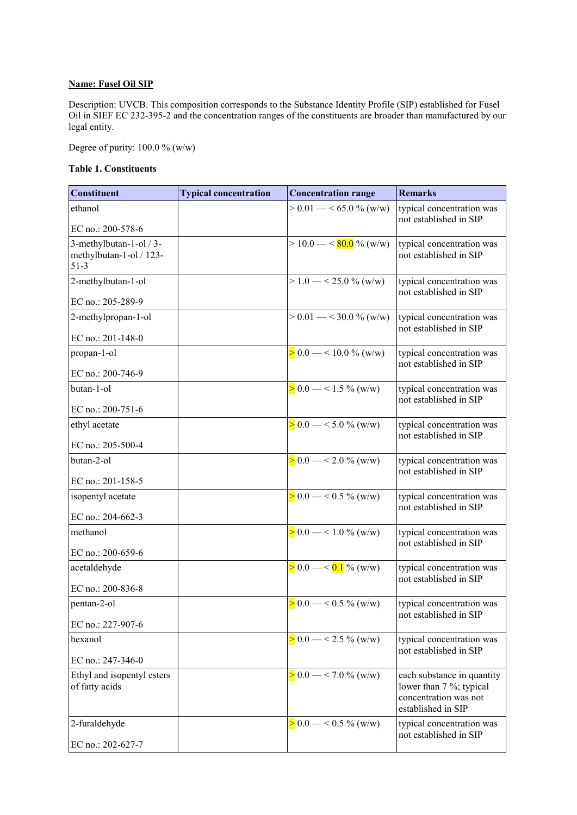## **Name: Fusel Oil SIP**

Description: UVCB. This composition corresponds to the Substance Identity Profile (SIP) established for Fusel Oil in SIEF EC 232-395-2 and the concentration ranges of the constituents are broader than manufactured by our legal entity.

Degree of purity: 100.0 % (w/w)

## **Table 1. Constituents**

| <b>Constituent</b>                                           | <b>Typical concentration</b> | <b>Concentration range</b>                   | <b>Remarks</b>                                                                                       |
|--------------------------------------------------------------|------------------------------|----------------------------------------------|------------------------------------------------------------------------------------------------------|
| ethanol                                                      |                              | $> 0.01 - 65.0$ % (w/w)                      | typical concentration was<br>not established in SIP                                                  |
| EC no.: 200-578-6                                            |                              |                                              |                                                                                                      |
| 3-methylbutan-1-ol / 3-<br>methylbutan-1-ol / 123-<br>$51-3$ |                              | $> 10.0 - \frac{\text{80.0}}{100}$ % (w/w)   | typical concentration was<br>not established in SIP                                                  |
| 2-methylbutan-1-ol<br>EC no.: 205-289-9                      |                              | $> 1.0 - 25.0 \%$ (w/w)                      | typical concentration was<br>not established in SIP                                                  |
| 2-methylpropan-1-ol                                          |                              | $> 0.01 - \frac{30.0 \text{ % (w/w)}}{1000}$ | typical concentration was                                                                            |
| EC no.: 201-148-0                                            |                              |                                              | not established in SIP                                                                               |
| propan-1-ol                                                  |                              | $> 0.0 - 10.0 \%$ (w/w)                      | typical concentration was                                                                            |
| EC no.: 200-746-9                                            |                              |                                              | not established in SIP                                                                               |
| butan-1-ol                                                   |                              | $> 0.0 - 1.5 \%$ (w/w)                       | typical concentration was                                                                            |
| EC no.: 200-751-6                                            |                              |                                              | not established in SIP                                                                               |
| ethyl acetate                                                |                              | $> 0.0 - 5.0 \%$ (w/w)                       | typical concentration was                                                                            |
| EC no.: 205-500-4                                            |                              |                                              | not established in SIP                                                                               |
| butan-2-ol                                                   |                              | $> 0.0 - \frac{2.0 \%}{\mathrm{W}}$ (w/w)    | typical concentration was                                                                            |
| EC no.: 201-158-5                                            |                              |                                              | not established in SIP                                                                               |
| isopentyl acetate                                            |                              | $> 0.0 - 0.5 \%$ (w/w)                       | typical concentration was                                                                            |
| EC no.: 204-662-3                                            |                              |                                              | not established in SIP                                                                               |
| methanol                                                     |                              | $> 0.0 - 1.0 \%$ (w/w)                       | typical concentration was                                                                            |
| EC no.: 200-659-6                                            |                              |                                              | not established in SIP                                                                               |
| acetaldehyde                                                 |                              | $> 0.0 - \frac{0.1}{0.1}$ % (w/w)            | typical concentration was                                                                            |
| EC no.: 200-836-8                                            |                              |                                              | not established in SIP                                                                               |
| pentan-2-ol                                                  |                              | $> 0.0 - 0.5 \%$ (w/w)                       | typical concentration was                                                                            |
| EC no.: 227-907-6                                            |                              |                                              | not established in SIP                                                                               |
| hexanol                                                      |                              | $> 0.0 - 2.5 \%$ (w/w)                       | typical concentration was                                                                            |
| EC no.: $247-346-0$                                          |                              |                                              | not established in SIP                                                                               |
| Ethyl and isopentyl esters<br>of fatty acids                 |                              | $> 0.0 - \frac{5}{2}$ 0.0 $\frac{6}{2}$      | each substance in quantity<br>lower than 7 %; typical<br>concentration was not<br>established in SIP |
| 2-furaldehyde                                                |                              | $> 0.0 - 0.5 \%$ (w/w)                       | typical concentration was<br>not established in SIP                                                  |
| EC no.: 202-627-7                                            |                              |                                              |                                                                                                      |